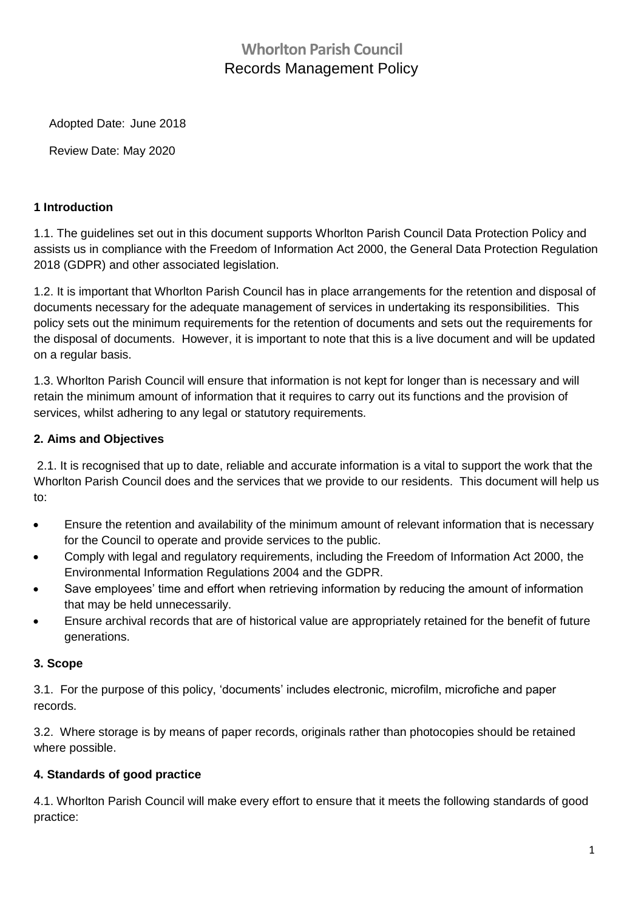# **Whorlton Parish Council** Records Management Policy

Adopted Date: June 2018

Review Date: May 2020

#### **1 Introduction**

1.1. The guidelines set out in this document supports Whorlton Parish Council Data Protection Policy and assists us in compliance with the Freedom of Information Act 2000, the General Data Protection Regulation 2018 (GDPR) and other associated legislation.

1.2. It is important that Whorlton Parish Council has in place arrangements for the retention and disposal of documents necessary for the adequate management of services in undertaking its responsibilities. This policy sets out the minimum requirements for the retention of documents and sets out the requirements for the disposal of documents. However, it is important to note that this is a live document and will be updated on a regular basis.

1.3. Whorlton Parish Council will ensure that information is not kept for longer than is necessary and will retain the minimum amount of information that it requires to carry out its functions and the provision of services, whilst adhering to any legal or statutory requirements.

#### **2. Aims and Objectives**

2.1. It is recognised that up to date, reliable and accurate information is a vital to support the work that the Whorlton Parish Council does and the services that we provide to our residents. This document will help us to:

- Ensure the retention and availability of the minimum amount of relevant information that is necessary for the Council to operate and provide services to the public.
- Comply with legal and regulatory requirements, including the Freedom of Information Act 2000, the Environmental Information Regulations 2004 and the GDPR.
- Save employees' time and effort when retrieving information by reducing the amount of information that may be held unnecessarily.
- Ensure archival records that are of historical value are appropriately retained for the benefit of future generations.

#### **3. Scope**

3.1. For the purpose of this policy, 'documents' includes electronic, microfilm, microfiche and paper records.

3.2. Where storage is by means of paper records, originals rather than photocopies should be retained where possible.

#### **4. Standards of good practice**

4.1. Whorlton Parish Council will make every effort to ensure that it meets the following standards of good practice: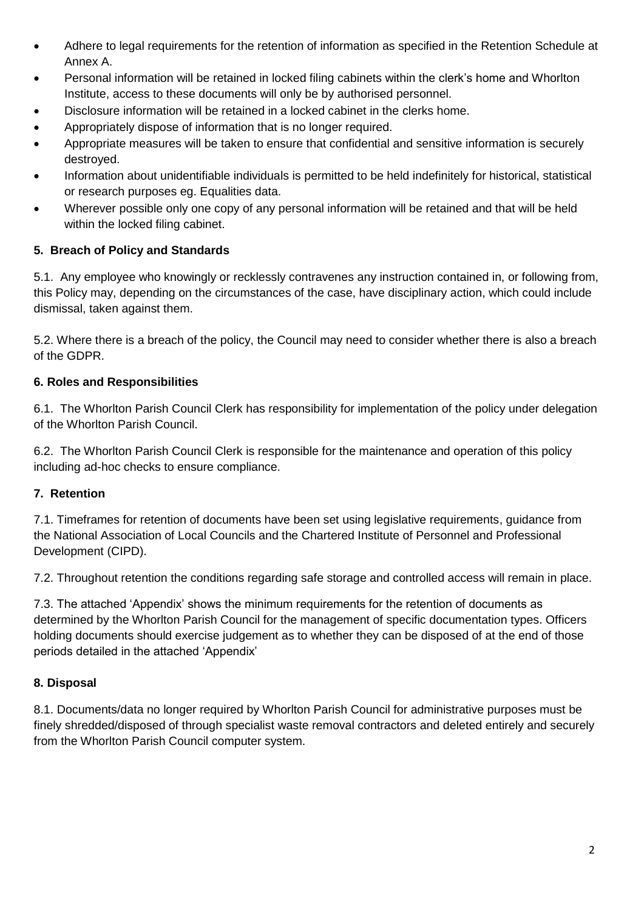- Adhere to legal requirements for the retention of information as specified in the Retention Schedule at Annex A.
- Personal information will be retained in locked filing cabinets within the clerk's home and Whorlton Institute, access to these documents will only be by authorised personnel.
- Disclosure information will be retained in a locked cabinet in the clerks home.
- Appropriately dispose of information that is no longer required.
- Appropriate measures will be taken to ensure that confidential and sensitive information is securely destroyed.
- Information about unidentifiable individuals is permitted to be held indefinitely for historical, statistical or research purposes eg. Equalities data.
- Wherever possible only one copy of any personal information will be retained and that will be held within the locked filing cabinet.

### **5. Breach of Policy and Standards**

5.1. Any employee who knowingly or recklessly contravenes any instruction contained in, or following from, this Policy may, depending on the circumstances of the case, have disciplinary action, which could include dismissal, taken against them.

5.2. Where there is a breach of the policy, the Council may need to consider whether there is also a breach of the GDPR.

#### **6. Roles and Responsibilities**

6.1. The Whorlton Parish Council Clerk has responsibility for implementation of the policy under delegation of the Whorlton Parish Council.

6.2. The Whorlton Parish Council Clerk is responsible for the maintenance and operation of this policy including ad-hoc checks to ensure compliance.

#### **7. Retention**

7.1. Timeframes for retention of documents have been set using legislative requirements, guidance from the National Association of Local Councils and the Chartered Institute of Personnel and Professional Development (CIPD).

7.2. Throughout retention the conditions regarding safe storage and controlled access will remain in place.

7.3. The attached 'Appendix' shows the minimum requirements for the retention of documents as determined by the Whorlton Parish Council for the management of specific documentation types. Officers holding documents should exercise judgement as to whether they can be disposed of at the end of those periods detailed in the attached 'Appendix'

#### **8. Disposal**

8.1. Documents/data no longer required by Whorlton Parish Council for administrative purposes must be finely shredded/disposed of through specialist waste removal contractors and deleted entirely and securely from the Whorlton Parish Council computer system.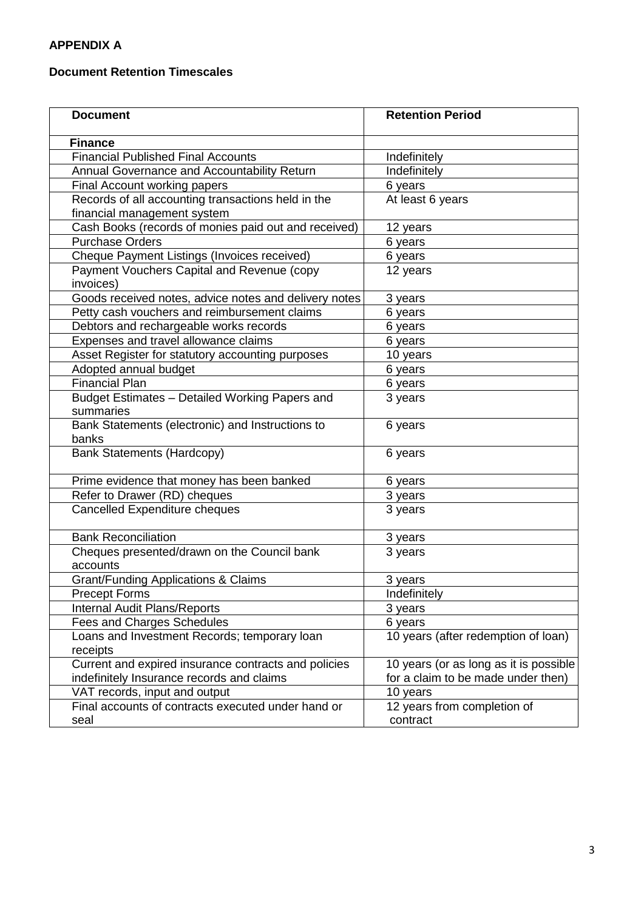## **APPENDIX A**

#### **Document Retention Timescales**

| <b>Document</b>                                       | <b>Retention Period</b>                |
|-------------------------------------------------------|----------------------------------------|
| <b>Finance</b>                                        |                                        |
| <b>Financial Published Final Accounts</b>             | Indefinitely                           |
| Annual Governance and Accountability Return           | Indefinitely                           |
| Final Account working papers                          | 6 years                                |
| Records of all accounting transactions held in the    | At least 6 years                       |
| financial management system                           |                                        |
| Cash Books (records of monies paid out and received)  | 12 years                               |
| <b>Purchase Orders</b>                                | 6 years                                |
| Cheque Payment Listings (Invoices received)           | 6 years                                |
| Payment Vouchers Capital and Revenue (copy            | 12 years                               |
| invoices)                                             |                                        |
| Goods received notes, advice notes and delivery notes | 3 years                                |
| Petty cash vouchers and reimbursement claims          | 6 years                                |
| Debtors and rechargeable works records                | 6 years                                |
| Expenses and travel allowance claims                  | 6 years                                |
| Asset Register for statutory accounting purposes      | 10 years                               |
| Adopted annual budget                                 | 6 years                                |
| <b>Financial Plan</b>                                 | 6 years                                |
| Budget Estimates - Detailed Working Papers and        | 3 years                                |
| summaries                                             |                                        |
| Bank Statements (electronic) and Instructions to      | 6 years                                |
| banks                                                 |                                        |
| <b>Bank Statements (Hardcopy)</b>                     | 6 years                                |
| Prime evidence that money has been banked             | 6 years                                |
| Refer to Drawer (RD) cheques                          | 3 years                                |
| Cancelled Expenditure cheques                         | 3 years                                |
| <b>Bank Reconciliation</b>                            | 3 years                                |
| Cheques presented/drawn on the Council bank           | 3 years                                |
| accounts                                              |                                        |
| <b>Grant/Funding Applications &amp; Claims</b>        | 3 years                                |
| <b>Precept Forms</b>                                  | Indefinitely                           |
| Internal Audit Plans/Reports                          | 3 years                                |
| <b>Fees and Charges Schedules</b>                     | 6 years                                |
| Loans and Investment Records; temporary loan          | 10 years (after redemption of loan)    |
| receipts                                              |                                        |
| Current and expired insurance contracts and policies  | 10 years (or as long as it is possible |
| indefinitely Insurance records and claims             | for a claim to be made under then)     |
| VAT records, input and output                         | 10 years                               |
| Final accounts of contracts executed under hand or    | 12 years from completion of            |
| seal                                                  | contract                               |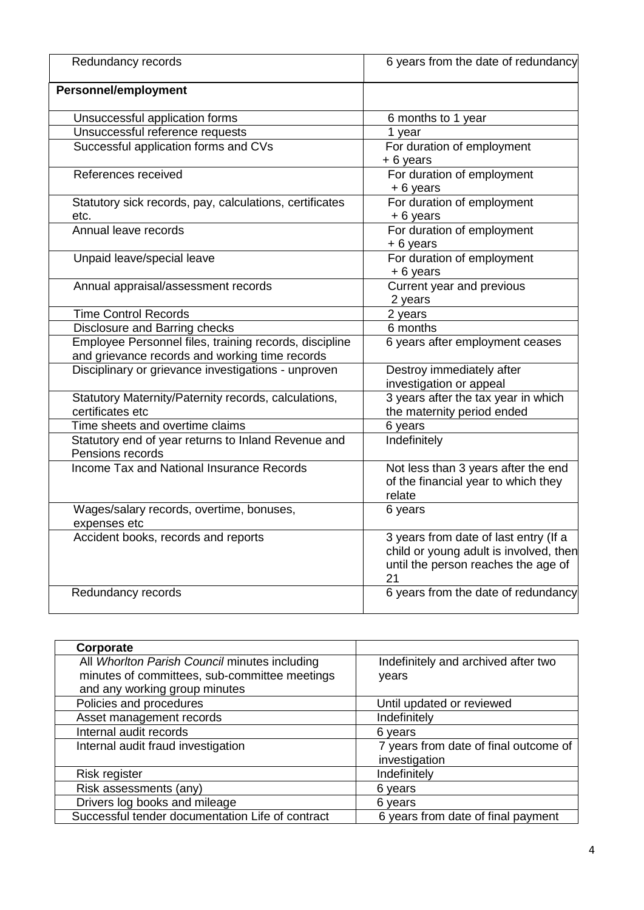| Redundancy records                                                                                       | 6 years from the date of redundancy                                                                                          |
|----------------------------------------------------------------------------------------------------------|------------------------------------------------------------------------------------------------------------------------------|
| <b>Personnel/employment</b>                                                                              |                                                                                                                              |
| Unsuccessful application forms                                                                           | 6 months to 1 year                                                                                                           |
| Unsuccessful reference requests                                                                          | 1 year                                                                                                                       |
| Successful application forms and CVs                                                                     | For duration of employment<br>$+6$ years                                                                                     |
| References received                                                                                      | For duration of employment<br>+ 6 years                                                                                      |
| Statutory sick records, pay, calculations, certificates<br>etc.                                          | For duration of employment<br>+6 years                                                                                       |
| Annual leave records                                                                                     | For duration of employment<br>+6 years                                                                                       |
| Unpaid leave/special leave                                                                               | For duration of employment<br>+6 years                                                                                       |
| Annual appraisal/assessment records                                                                      | Current year and previous<br>2 years                                                                                         |
| <b>Time Control Records</b>                                                                              | 2 years                                                                                                                      |
| Disclosure and Barring checks                                                                            | 6 months                                                                                                                     |
| Employee Personnel files, training records, discipline<br>and grievance records and working time records | 6 years after employment ceases                                                                                              |
| Disciplinary or grievance investigations - unproven                                                      | Destroy immediately after<br>investigation or appeal                                                                         |
| Statutory Maternity/Paternity records, calculations,<br>certificates etc                                 | 3 years after the tax year in which<br>the maternity period ended                                                            |
| Time sheets and overtime claims                                                                          | 6 years                                                                                                                      |
| Statutory end of year returns to Inland Revenue and<br>Pensions records                                  | Indefinitely                                                                                                                 |
| Income Tax and National Insurance Records                                                                | Not less than 3 years after the end<br>of the financial year to which they<br>relate                                         |
| Wages/salary records, overtime, bonuses,<br>expenses etc                                                 | 6 years                                                                                                                      |
| Accident books, records and reports                                                                      | 3 years from date of last entry (If a<br>child or young adult is involved, then<br>until the person reaches the age of<br>21 |
| Redundancy records                                                                                       | 6 years from the date of redundancy                                                                                          |

| Corporate                                        |                                       |
|--------------------------------------------------|---------------------------------------|
| All Whorlton Parish Council minutes including    | Indefinitely and archived after two   |
| minutes of committees, sub-committee meetings    | years                                 |
| and any working group minutes                    |                                       |
| Policies and procedures                          | Until updated or reviewed             |
| Asset management records                         | Indefinitely                          |
| Internal audit records                           | 6 years                               |
| Internal audit fraud investigation               | 7 years from date of final outcome of |
|                                                  | investigation                         |
| Risk register                                    | Indefinitely                          |
| Risk assessments (any)                           | 6 years                               |
| Drivers log books and mileage                    | 6 years                               |
| Successful tender documentation Life of contract | 6 years from date of final payment    |